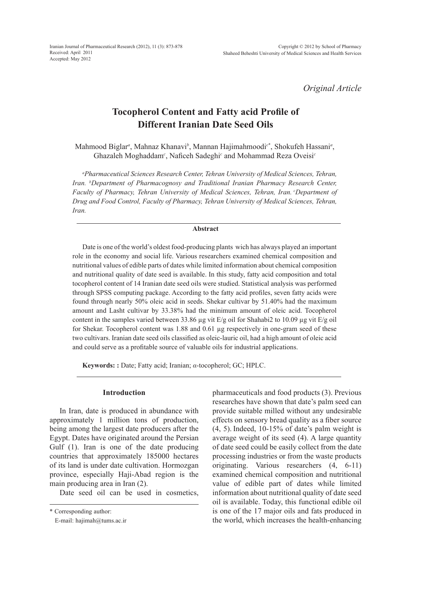*Original Article*

# **Tocopherol Content and Fatty acid Profile of Different Iranian Date Seed Oils**

Mahmood Biglar*<sup>a</sup>* , Mahnaz Khanavi*<sup>b</sup>* , Mannan Hajimahmoodi*<sup>c</sup>*\* , Shokufeh Hassani*<sup>a</sup>* , Ghazaleh Moghaddam*<sup>c</sup>* , Naficeh Sadeghi*<sup>c</sup>* and Mohammad Reza Oveisi*<sup>c</sup>*

*a Pharmaceutical Sciences Research Center, Tehran University of Medical Sciences, Tehran, Iran. b Department of Pharmacognosy and Traditional Iranian Pharmacy Research Center,*  Faculty of Pharmacy, Tehran University of Medical Sciences, Tehran, Iran. <sup>c</sup>Department of *Drug and Food Control, Faculty of Pharmacy, Tehran University of Medical Sciences, Tehran, Iran.*

#### **Abstract**

Date is one of the world's oldest food-producing plants wich has always played an important role in the economy and social life. Various researchers examined chemical composition and nutritional values of edible parts of dates while limited information about chemical composition and nutritional quality of date seed is available. In this study, fatty acid composition and total tocopherol content of 14 Iranian date seed oils were studied. Statistical analysis was performed through SPSS computing package. According to the fatty acid profiles, seven fatty acids were found through nearly 50% oleic acid in seeds. Shekar cultivar by 51.40% had the maximum amount and Lasht cultivar by 33.38% had the minimum amount of oleic acid. Tocopherol content in the samples varied between 33.86 µg vit  $E/g$  oil for Shahabi2 to 10.09 µg vit  $E/g$  oil for Shekar. Tocopherol content was 1.88 and 0.61 µg respectively in one-gram seed of these two cultivars. Iranian date seed oils classified as oleic-lauric oil, had a high amount of oleic acid and could serve as a profitable source of valuable oils for industrial applications.

**Keywords: :** Date; Fatty acid; Iranian; *α*-tocopherol; GC; HPLC.

#### **Introduction**

In Iran, date is produced in abundance with approximately 1 million tons of production, being among the largest date producers after the Egypt. Dates have originated around the Persian Gulf (1). Iran is one of the date producing countries that approximately 185000 hectares of its land is under date cultivation. Hormozgan province, especially Haji-Abad region is the main producing area in Iran (2).

Date seed oil can be used in cosmetics,

pharmaceuticals and food products (3). Previous researches have shown that date's palm seed can provide suitable milled without any undesirable effects on sensory bread quality as a fiber source (4, 5). Indeed, 10-15% of date's palm weight is average weight of its seed (4). A large quantity of date seed could be easily collect from the date processing industries or from the waste products originating. Various researchers (4, 6-11) examined chemical composition and nutritional value of edible part of dates while limited information about nutritional quality of date seed oil is available. Today, this functional edible oil is one of the 17 major oils and fats produced in the world, which increases the health-enhancing

<sup>\*</sup> Corresponding author:

E-mail: hajimah@tums.ac.ir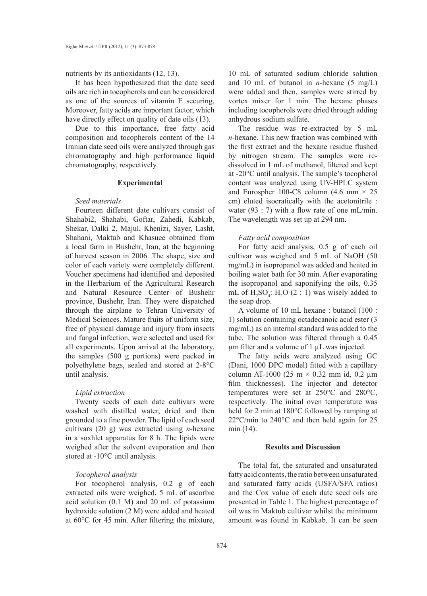nutrients by its antioxidants (12, 13).

It has been hypothesized that the date seed oils are rich in tocopherols and can be considered as one of the sources of vitamin E securing. Moreover, fatty acids are important factor, which have directly effect on quality of date oils (13).

Due to this importance, free fatty acid composition and tocopherols content of the 14 Iranian date seed oils were analyzed through gas chromatography and high performance liquid chromatography, respectively.

# **Experimental**

# *Seed materials*

Fourteen different date cultivars consist of Shahabi2, Shahabi, Goftar, Zahedi, Kabkab, Shekar, Dalki 2, Majul, Khenizi, Sayer, Lasht, Shahani, Maktub and Khasuee obtained from a local farm in Bushehr, Iran, at the beginning of harvest season in 2006. The shape, size and color of each variety were completely different. Voucher specimens had identified and deposited in the Herbarium of the Agricultural Research and Natural Resource Center of Bushehr province, Bushehr, Iran. They were dispatched through the airplane to Tehran University of Medical Sciences. Mature fruits of uniform size, free of physical damage and injury from insects and fungal infection, were selected and used for all experiments. Upon arrival at the laboratory, the samples (500 g portions) were packed in polyethylene bags, sealed and stored at 2-8°C until analysis.

### *Lipid extraction*

Twenty seeds of each date cultivars were washed with distilled water, dried and then grounded to a fine powder. The lipid of each seed cultivars (20 g) was extracted using *n*-hexane in a soxhlet apparatus for 8 h. The lipids were weighed after the solvent evaporation and then stored at -10°C until analysis.

### *Tocopherol analysis*

For tocopherol analysis, 0.2 g of each extracted oils were weighed, 5 mL of ascorbic acid solution (0.1 M) and 20 mL of potassium hydroxide solution (2 M) were added and heated at 60°C for 45 min. After filtering the mixture,

10 mL of saturated sodium chloride solution and 10 mL of butanol in *n*-hexane (5 mg/L) were added and then, samples were stirred by vortex mixer for 1 min. The hexane phases including tocopherols were dried through adding anhydrous sodium sulfate.

The residue was re-extracted by 5 mL *n*-hexane. This new fraction was combined with the first extract and the hexane residue flushed by nitrogen stream. The samples were redissolved in 1 mL of methanol, filtered and kept at -20°C until analysis. The sample's tocopherol content was analyzed using UV-HPLC system and Eurospher 100-C8 column (4.6 mm  $\times$  25 cm) eluted isocratically with the acetonitrile : water (93 : 7) with a flow rate of one mL/min. The wavelength was set up at 294 nm.

# *Fatty acid composition*

For fatty acid analysis, 0.5 g of each oil cultivar was weighed and 5 mL of NaOH (50 mg/mL) in isopropanol was added and heated in boiling water bath for 30 min. After evaporating the isopropanol and saponifying the oils, 0.35 mL of  $H_2SO_4$ :  $H_2O$  (2 : 1) was wisely added to the soap drop.

A volume of 10 mL hexane : butanol (100 : 1) solution containing octadecanoic acid ester (3 mg/mL) as an internal standard was added to the tube. The solution was filtered through a 0.45  $\mu$ m filter and a volume of 1  $\mu$ L was injected.

The fatty acids were analyzed using GC (Dani, 1000 DPC model) fitted with a capillary column AT-1000 (25 m  $\times$  0.32 mm id, 0.2 µm film thicknesses). The injector and detector temperatures were set at 250°C and 280°C, respectively. The initial oven temperature was held for 2 min at 180°C followed by ramping at 22°C/min to 240°C and then held again for 25 min (14).

# **Results and Discussion**

The total fat, the saturated and unsaturated fatty acid contents, the ratio between unsaturated and saturated fatty acids (USFA/SFA ratios) and the Cox value of each date seed oils are presented in Table 1. The highest percentage of oil was in Maktub cultivar whilst the minimum amount was found in Kabkab. It can be seen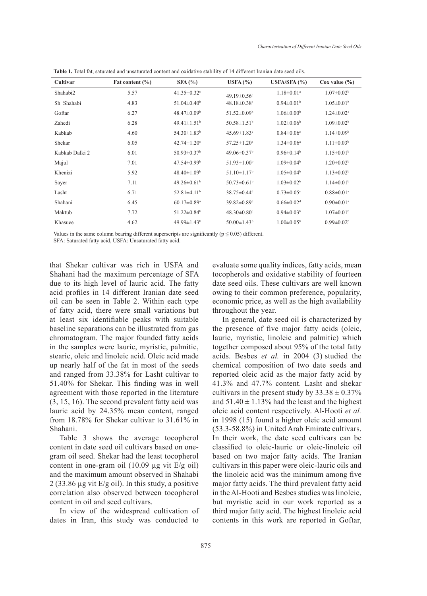| Cultivar       | Fat content $(\% )$ | SFA(%)                        | USFA $(%)$                    | USFA/SFA $(%)$               | $\cos$ value $(\% )$         |
|----------------|---------------------|-------------------------------|-------------------------------|------------------------------|------------------------------|
| Shahabi2       | 5.57                | $41.35 \pm 0.32$ <sup>c</sup> | 49.19 $\pm$ 0.56 $\text{°}$   | $1.18 \pm 0.01$ <sup>a</sup> | $1.07 \pm 0.02$ <sup>b</sup> |
| Sh Shahabi     | 4.83                | $51.04 \pm 0.40^b$            | $48.18 \pm 0.38$ <sup>c</sup> | $0.94 \pm 0.01$ <sup>b</sup> | $1.05 \pm 0.01^b$            |
| Goftar         | 6.27                | $48.47 \pm 0.09$ <sup>b</sup> | $51.52 \pm 0.09$ <sup>b</sup> | $1.06 \pm 0.00$ <sup>b</sup> | $1.24 \pm 0.02$ <sup>c</sup> |
| Zahedi         | 6.28                | $49.41 \pm 1.51$ <sup>b</sup> | $50.58 \pm 1.51$ <sup>b</sup> | $1.02 \pm 0.06$ <sup>b</sup> | $1.09 \pm 0.02$ <sup>b</sup> |
| Kabkab         | 4.60                | $54.30 \pm 1.83$ <sup>b</sup> | $45.69 \pm 1.83$ <sup>c</sup> | $0.84 \pm 0.06$ <sup>c</sup> | $1.14 \pm 0.09$ <sup>b</sup> |
| Shekar         | 6.05                | $42.74 \pm 1.20$ <sup>c</sup> | $57.25 \pm 1.20^a$            | $1.34 \pm 0.06^a$            | $1.11 \pm 0.03^b$            |
| Kabkab Dalki 2 | 6.01                | $50.93 \pm 0.37$ <sup>b</sup> | $49.06 \pm 0.37$ <sup>b</sup> | $0.96 \pm 0.14^b$            | $1.15 \pm 0.01^b$            |
| Majul          | 7.01                | $47.54 \pm 0.99$ <sup>b</sup> | $51.93 \pm 1.00^b$            | $1.09 \pm 0.04$ <sup>b</sup> | $1.20 \pm 0.02^b$            |
| Khenizi        | 5.92                | $48.40 \pm 1.09^b$            | $51.10 \pm 1.17$ <sup>b</sup> | $1.05 \pm 0.04$ <sup>b</sup> | $1.13 \pm 0.02^b$            |
| Sayer          | 7.11                | $49.26 \pm 0.61$ <sup>b</sup> | $50.73 \pm 0.61^b$            | $1.03 \pm 0.02^b$            | $1.14 \pm 0.01$ <sup>b</sup> |
| Lasht          | 6.71                | $52.81 \pm 4.11$ <sup>b</sup> | $38.75 \pm 0.44$ <sup>d</sup> | $0.73 \pm 0.05$ <sup>c</sup> | $0.88 \pm 0.01$ <sup>a</sup> |
| Shahani        | 6.45                | $60.17 \pm 0.89$ <sup>a</sup> | $39.82 \pm 0.89$ <sup>d</sup> | $0.66 \pm 0.02$ <sup>d</sup> | $0.90 \pm 0.01$ <sup>a</sup> |
| Maktub         | 7.72                | $51.22 \pm 0.84$ <sup>b</sup> | $48.30 \pm 0.80$ <sup>c</sup> | $0.94 \pm 0.03^b$            | $1.07 \pm 0.01$ <sup>b</sup> |
| Khasuee        | 4.62                | 49.99±1.43 <sup>b</sup>       | $50.00 \pm 1.43$ <sup>b</sup> | $1.00 \pm 0.05^b$            | $0.99 \pm 0.02^b$            |

**Table 1.** Total fat, saturated and unsaturated content and oxidative stability of 14 different Iranian date seed oils.

Values in the same column bearing different superscripts are significantly ( $p \le 0.05$ ) different.

SFA: Saturated fatty acid, USFA: Unsaturated fatty acid.

that Shekar cultivar was rich in USFA and Shahani had the maximum percentage of SFA due to its high level of lauric acid. The fatty acid profiles in 14 different Iranian date seed oil can be seen in Table 2. Within each type of fatty acid, there were small variations but at least six identifiable peaks with suitable baseline separations can be illustrated from gas chromatogram. The major founded fatty acids in the samples were lauric, myristic, palmitic, stearic, oleic and linoleic acid. Oleic acid made up nearly half of the fat in most of the seeds and ranged from 33.38% for Lasht cultivar to 51.40% for Shekar. This finding was in well agreement with those reported in the literature (3, 15, 16). The second prevalent fatty acid was lauric acid by 24.35% mean content, ranged from 18.78% for Shekar cultivar to 31.61% in Shahani.

Table 3 shows the average tocopherol content in date seed oil cultivars based on onegram oil seed. Shekar had the least tocopherol content in one-gram oil  $(10.09 \text{ µg} \text{ vit } E/\text{g} \text{ oil})$ and the maximum amount observed in Shahabi 2 (33.86 µg vit E/g oil). In this study, a positive correlation also observed between tocopherol content in oil and seed cultivars.

In view of the widespread cultivation of dates in Iran, this study was conducted to evaluate some quality indices, fatty acids, mean tocopherols and oxidative stability of fourteen date seed oils. These cultivars are well known owing to their common preference, popularity, economic price, as well as the high availability throughout the year.

In general, date seed oil is characterized by the presence of five major fatty acids (oleic, lauric, myristic, linoleic and palmitic) which together composed about 95% of the total fatty acids. Besbes *et al.* in 2004 (3) studied the chemical composition of two date seeds and reported oleic acid as the major fatty acid by 41.3% and 47.7% content. Lasht and shekar cultivars in the present study by  $33.38 \pm 0.37\%$ and  $51.40 \pm 1.13\%$  had the least and the highest oleic acid content respectively. Al-Hooti *et al.* in 1998 (15) found a higher oleic acid amount (53.3-58.8%) in United Arab Emirate cultivars. In their work, the date seed cultivars can be classified to oleic-lauric or oleic-linoleic oil based on two major fatty acids. The Iranian cultivars in this paper were oleic-lauric oils and the linoleic acid was the minimum among five major fatty acids. The third prevalent fatty acid in the Al-Hooti and Besbes studies was linoleic, but myristic acid in our work reported as a third major fatty acid. The highest linoleic acid contents in this work are reported in Goftar,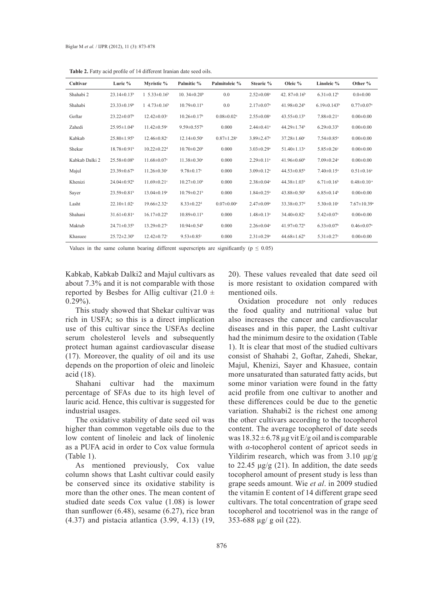| Cultivar       | Luric %                       | Myristic %                     | Palmitic %                    | Palmitoleic %                | Stearic %                    | Oleic %                       | Linoleic %                    | Other %                       |
|----------------|-------------------------------|--------------------------------|-------------------------------|------------------------------|------------------------------|-------------------------------|-------------------------------|-------------------------------|
| Shahabi 2      | $23.14\pm0.13^b$              | 1 5.33 $\pm$ 0.16 <sup>b</sup> | 10.34 $\pm$ 0.20 <sup>b</sup> | 0.0                          | $2.52 \pm 0.08$ <sup>a</sup> | 42.87 $\pm$ 0.16 <sup>b</sup> | $6.31 \pm 0.12^b$             | $0.0 + 0.00$                  |
| Shahabi        | $23.33 \pm 0.19^b$            | 1 4.73 $\pm$ 0.16 <sup>b</sup> | $10.79 \pm 0.11$ <sup>b</sup> | 0.0                          | $2.17 \pm 0.07$ <sup>a</sup> | 41.98 $\pm$ 0.24 <sup>b</sup> | $6.19 \pm 0.143$ <sup>b</sup> | $0.77 \pm 0.07$ <sup>a</sup>  |
| Goftar         | $23.22 \pm 0.07$ <sup>b</sup> | $12.42 \pm 0.03$ °             | $10.26 \pm 0.17$ <sup>b</sup> | $0.08 \pm 0.02$ <sup>a</sup> | $2.55 \pm 0.08$ <sup>a</sup> | $43.55 \pm 0.13^b$            | $7.88 \pm 0.21$ <sup>a</sup>  | $0.00 \pm 0.00$               |
| Zahedi         | $25.95 \pm 1.04$ <sup>b</sup> | $11.42 \pm 0.59$ <sup>c</sup>  | $9.59 \pm 0.557$ <sup>b</sup> | 0.000                        | $2.44 \pm 0.41$ <sup>a</sup> | $44.29 \pm 1.74$ <sup>b</sup> | $6.29 \pm 0.33$ <sup>b</sup>  | $0.00 \pm 0.00$               |
| Kabkab         | $25.80 \pm 1.95^{\rm b}$      | $12.46 \pm 0.82$ <sup>c</sup>  | $12.14 \pm 0.50$ <sup>a</sup> | $0.87 \pm 1.28$ <sup>a</sup> | $3.89 \pm 2.47$ <sup>a</sup> | $37.28 \pm 1.60$ <sup>c</sup> | $7.54 \pm 0.85$ <sup>a</sup>  | $0.00 \pm 0.00$               |
| Shekar         | $18.78 \pm 0.91$ <sup>b</sup> | $10.22 \pm 0.22$ <sup>d</sup>  | $10.70 \pm 0.20$ <sup>b</sup> | 0.000                        | $3.03 \pm 0.29$ <sup>a</sup> | $51.40 \pm 1.13$ <sup>a</sup> | $5.85 \pm 0.26$ <sup>c</sup>  | $0.00 \pm 0.00$               |
| Kabkab Dalki 2 | $25.58 \pm 0.08$ <sup>b</sup> | $11.68 \pm 0.07$ <sup>c</sup>  | $11.38 \pm 0.30$ <sup>a</sup> | 0.000                        | $2.29 \pm 0.11$ <sup>a</sup> | $41.96 \pm 0.60^b$            | $7.09 \pm 0.24$ <sup>a</sup>  | $0.00 \pm 0.00$               |
| Majul          | $23.39 \pm 0.67$ <sup>b</sup> | $11.26 \pm 0.30$ <sup>c</sup>  | $9.78 \pm 0.17$ °             | 0.000                        | $3.09 \pm 0.12$ <sup>a</sup> | $44.53 \pm 0.85^b$            | $7.40 \pm 0.15$ <sup>a</sup>  | $0.51 \pm 0.16^a$             |
| Khenizi        | $24.04 \pm 0.92$ <sup>b</sup> | $11.69 \pm 0.21$ °             | $10.27 \pm 0.10^b$            | 0.000                        | $2.38 \pm 0.04$ <sup>a</sup> | $44.38 \pm 1.03^b$            | $6.71 \pm 0.16$ <sup>b</sup>  | $0.48 \pm 0.10$ <sup>a</sup>  |
| Sayer          | $23.59 \pm 0.81$ <sup>b</sup> | $13.04 \pm 0.19$ <sup>c</sup>  | $10.79 \pm 0.21$ <sup>b</sup> | 0.000                        | $1.84 \pm 0.25$ <sup>a</sup> | $43.88 \pm 0.50^b$            | $6.85 \pm 0.14$ <sup>b</sup>  | $0.00 \pm 0.00$               |
| Lasht          | $22.10 \pm 1.02$ <sup>c</sup> | $19.66 \pm 2.32$ <sup>a</sup>  | $8.33 \pm 0.22$ <sup>d</sup>  | $0.07 \pm 0.00$ <sup>a</sup> | $2.47 \pm 0.09^a$            | $33.38 \pm 0.37$ <sup>d</sup> | $5.30 \pm 0.10$ <sup>c</sup>  | $7.67 \pm 10.39$ <sup>a</sup> |
| Shahani        | $31.61 \pm 0.81$ <sup>a</sup> | $16.17 \pm 0.22^b$             | $10.89 \pm 0.11$ <sup>b</sup> | 0.000                        | $1.48 \pm 0.13$ <sup>a</sup> | $34.40 \pm 0.82$ <sup>c</sup> | $5.42 \pm 0.07$ <sup>c</sup>  | $0.00 \pm 0.00$               |
| Maktub         | $24.71 \pm 0.35^b$            | $13.29 \pm 0.27$ °             | $10.94 \pm 0.54$              | 0.000                        | $2.26 \pm 0.04$ <sup>a</sup> | $41.97 \pm 0.72$ <sup>b</sup> | $6.33 \pm 0.07$ <sup>b</sup>  | $0.46 \pm 0.07$ <sup>a</sup>  |
| Khasuee        | $25.72 \pm 2.30^b$            | $12.42 \pm 0.72$ <sup>c</sup>  | $9.53 \pm 0.85$ <sup>c</sup>  | 0.000                        | $2.31 \pm 0.29$ <sup>a</sup> | $44.68 \pm 1.62^b$            | $5.31 \pm 0.27$ °             | $0.00 \pm 0.00$               |

**Table 2.** Fatty acid profile of 14 different Iranian date seed oils.

Values in the same column bearing different superscripts are significantly ( $p \le 0.05$ )

Kabkab, Kabkab Dalki2 and Majul cultivars as about 7.3% and it is not comparable with those reported by Besbes for Allig cultivar  $(21.0 \pm$  $0.29\%$ ).

This study showed that Shekar cultivar was rich in USFA; so this is a direct implication use of this cultivar since the USFAs decline serum cholesterol levels and subsequently protect human against cardiovascular disease (17). Moreover, the quality of oil and its use depends on the proportion of oleic and linoleic acid (18).

Shahani cultivar had the maximum percentage of SFAs due to its high level of lauric acid. Hence, this cultivar is suggested for industrial usages.

The oxidative stability of date seed oil was higher than common vegetable oils due to the low content of linoleic and lack of linolenic as a PUFA acid in order to Cox value formula (Table 1).

As mentioned previously, Cox value column shows that Lasht cultivar could easily be conserved since its oxidative stability is more than the other ones. The mean content of studied date seeds Cox value (1.08) is lower than sunflower  $(6.48)$ , sesame  $(6.27)$ , rice bran (4.37) and pistacia atlantica (3.99, 4.13) (19, 20). These values revealed that date seed oil is more resistant to oxidation compared with mentioned oils.

Oxidation procedure not only reduces the food quality and nutritional value but also increases the cancer and cardiovascular diseases and in this paper, the Lasht cultivar had the minimum desire to the oxidation (Table 1). It is clear that most of the studied cultivars consist of Shahabi 2, Goftar, Zahedi, Shekar, Majul, Khenizi, Sayer and Khasuee, contain more unsaturated than saturated fatty acids, but some minor variation were found in the fatty acid profile from one cultivar to another and these differences could be due to the genetic variation. Shahabi2 is the richest one among the other cultivars according to the tocopherol content. The average tocopherol of date seeds was  $18.32 \pm 6.78$  µg vit E/g oil and is comparable with *α*-tocopherol content of apricot seeds in Yildirim research, which was from 3.10 μg/g to 22.45 μg/g (21). In addition, the date seeds tocopherol amount of present study is less than grape seeds amount. Wie *et al*. in 2009 studied the vitamin E content of 14 different grape seed cultivars. The total concentration of grape seed tocopherol and tocotrienol was in the range of 353-688 µg/ g oil (22).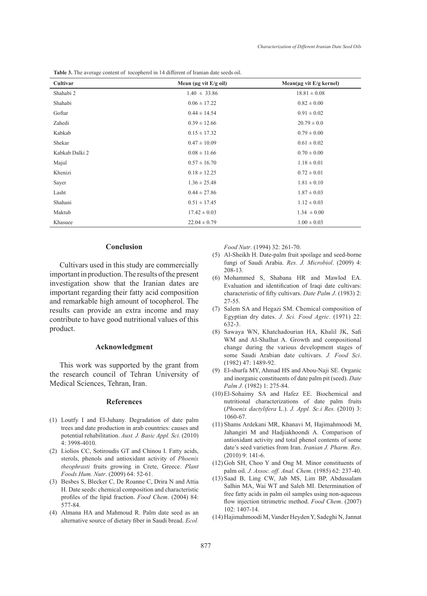| Cultivar       | Mean ( $\mu$ g vit E/g oil) | $Mean(\mu g \text{ vit } E/g \text{ kernel})$ |
|----------------|-----------------------------|-----------------------------------------------|
| Shahabi 2      | $1.40 \pm 33.86$            | $18.81 \pm 0.08$                              |
| Shahabi        | $0.06 \pm 17.22$            | $0.82 \pm 0.00$                               |
| Goftar         | $0.44 \pm 14.54$            | $0.91 \pm 0.02$                               |
| Zahedi         | $0.39 \pm 12.66$            | $20.79 \pm 0.0$                               |
| Kabkab         | $0.15 \pm 17.32$            | $0.79 \pm 0.00$                               |
| Shekar         | $0.47 \pm 10.09$            | $0.61 \pm 0.02$                               |
| Kabkab Dalki 2 | $0.08 \pm 11.66$            | $0.70 \pm 0.00$                               |
| Majul          | $0.57 \pm 16.70$            | $1.18 \pm 0.01$                               |
| Khenizi        | $0.18 \pm 12.25$            | $0.72 \pm 0.01$                               |
| Sayer          | $1.36 \pm 25.48$            | $1.81 \pm 0.10$                               |
| Lasht          | $0.44 \pm 27.86$            | $1.87 \pm 0.03$                               |
| Shahani        | $0.51 \pm 17.45$            | $1.12 \pm 0.03$                               |
| Maktub         | $17.42 \pm 0.03$            | $1.34 \pm 0.00$                               |
| Khasuee        | $22.04 \pm 0.79$            | $1.00 \pm 0.03$                               |

**Table 3.** The average content of tocopherol in 14 different of Iranian date seeds oil.

#### **Conclusion**

Cultivars used in this study are commercially important in production. The results of the present investigation show that the Iranian dates are important regarding their fatty acid composition and remarkable high amount of tocopherol. The results can provide an extra income and may contribute to have good nutritional values of this product.

### **Acknowledgment**

This work was supported by the grant from the research council of Tehran University of Medical Sciences, Tehran, Iran.

#### **References**

- Loutfy I and El-Juhany. Degradation of date palm (1) trees and date production in arab countries: causes and potential rehabilitation. *Aust. J. Basic Appl. Sci*. (2010) 4: 3998-4010.
- Liolios CC, Sotiroudis GT and Chinou I. Fatty acids, (2) sterols, phenols and antioxidant activity of *Phoenix theophrasti* fruits growing in Crete, Greece. *Plant Foods Hum. Nutr*. (2009) 64: 52-61.
- (3) Besbes S, Blecker C, De Roanne C, Drira N and Attia H. Date seeds: chemical composition and characteristic profiles of the lipid fraction. *Food Chem*. (2004) 84: 577-84.
- Almana HA and Mahmoud R. Palm date seed as an (4) alternative source of dietary fiber in Saudi bread. *Ecol.*

*Food Nutr*. (1994) 32: 261-70.

- Al-Sheikh H. Date-palm fruit spoilage and seed-borne (5) fungi of Saudi Arabia. *Res. J. Microbiol*. (2009) 4: 208-13.
- Mohammed S, Shabana HR and Mawlod EA. (6) Evaluation and identification of Iraqi date cultivars: characteristic of fifty cultivars. *Date Palm J*. (1983) 2: 27-55.
- (7) Salem SA and Hegazi SM. Chemical composition of Egyptian dry dates. *J. Sci. Food Agric*. (1971) 22: 632-3.
- Sawaya WN, Khatchadourian HA, Khalil JK, Safi (8) WM and Al-Shalhat A. Growth and compositional change during the various development stages of some Saudi Arabian date cultivars. *J. Food Sci*. (1982) 47: 1489-92.
- El-shurfa MY, Ahmad HS and Abou-Naji SE. Organic (9) and inorganic constituents of date palm pit (seed). *Date Palm J.* (1982) 1: 275-84.
- El-Sohaimy SA and Hafez EE. Biochemical and (10) nutritional characterizations of date palm fruits (*Phoenix dactylifera* L.). *J. Appl. Sc.i Res.* (2010) 3: 1060-67.
- (11) Shams Ardekani MR, Khanavi M, Hajimahmoodi M, Jahangiri M and Hadjiakhoondi A. Comparison of antioxidant activity and total phenol contents of some date's seed varieties from Iran. *Iranian J. Pharm. Res*. (2010) 9: 141-6.
- $(12)$  Goh SH, Choo Y and Ong M. Minor constituents of palm oil. *J. Assoc. off. Anal. Chem*. (1985) 62: 237-40.
- (13) Saad B, Ling CW, Jab MS, Lim BP, Abdussalam Salhin MA, Wai WT and Saleh MI. Determination of free fatty acids in palm oil samples using non-aqueous flow injection titrimetric method. *Food Chem*. (2007) 102: 1407-14.
- (14) Hajimahmoodi M, Vander Heyden Y, Sadeghi N, Jannat